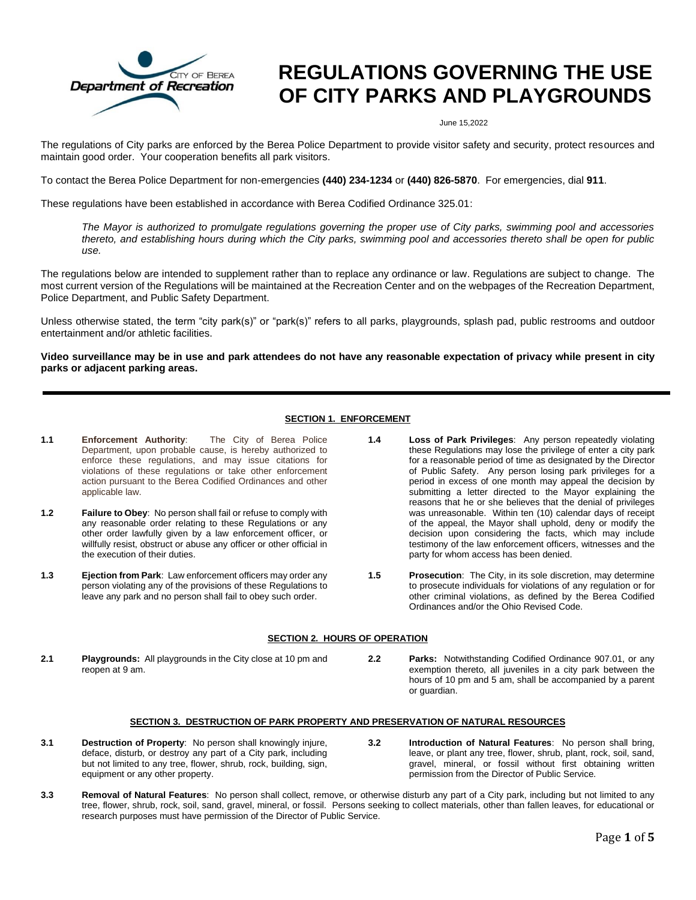

# **REGULATIONS GOVERNING THE USE OF CITY PARKS AND PLAYGROUNDS**

June 15,2022

The regulations of City parks are enforced by the Berea Police Department to provide visitor safety and security, protect resources and maintain good order. Your cooperation benefits all park visitors.

To contact the Berea Police Department for non-emergencies **(440) 234-1234** or **(440) 826-5870**. For emergencies, dial **911**.

These regulations have been established in accordance with Berea Codified Ordinance 325.01:

*The Mayor is authorized to promulgate regulations governing the proper use of City parks, swimming pool and accessories thereto, and establishing hours during which the City parks, swimming pool and accessories thereto shall be open for public use.*

The regulations below are intended to supplement rather than to replace any ordinance or law. Regulations are subject to change. The most current version of the Regulations will be maintained at the Recreation Center and on the webpages of the Recreation Department, Police Department, and Public Safety Department.

Unless otherwise stated, the term "city park(s)" or "park(s)" refers to all parks, playgrounds, splash pad, public restrooms and outdoor entertainment and/or athletic facilities.

**Video surveillance may be in use and park attendees do not have any reasonable expectation of privacy while present in city parks or adjacent parking areas.**

# **SECTION 1. ENFORCEMENT**

- **1.1 Enforcement Authority**: The City of Berea Police Department, upon probable cause, is hereby authorized to enforce these regulations, and may issue citations for violations of these regulations or take other enforcement action pursuant to the Berea Codified Ordinances and other applicable law.
- **1.2 Failure to Obey**: No person shall fail or refuse to comply with any reasonable order relating to these Regulations or any other order lawfully given by a law enforcement officer, or willfully resist, obstruct or abuse any officer or other official in the execution of their duties.
- **1.3 Ejection from Park**: Law enforcement officers may order any person violating any of the provisions of these Regulations to leave any park and no person shall fail to obey such order.

# **SECTION 2. HOURS OF OPERATION**

- **2.1 Playgrounds:** All playgrounds in the City close at 10 pm and reopen at 9 am.
- **2.2 Parks:** Notwithstanding Codified Ordinance 907.01, or any exemption thereto, all juveniles in a city park between the hours of 10 pm and 5 am, shall be accompanied by a parent or guardian.

**1.4 Loss of Park Privileges**: Any person repeatedly violating these Regulations may lose the privilege of enter a city park for a reasonable period of time as designated by the Director of Public Safety. Any person losing park privileges for a period in excess of one month may appeal the decision by submitting a letter directed to the Mayor explaining the reasons that he or she believes that the denial of privileges was unreasonable. Within ten (10) calendar days of receipt of the appeal, the Mayor shall uphold, deny or modify the decision upon considering the facts, which may include testimony of the law enforcement officers, witnesses and the

party for whom access has been denied.

Ordinances and/or the Ohio Revised Code.

**1.5 Prosecution**: The City, in its sole discretion, may determine to prosecute individuals for violations of any regulation or for other criminal violations, as defined by the Berea Codified

# **SECTION 3. DESTRUCTION OF PARK PROPERTY AND PRESERVATION OF NATURAL RESOURCES**

- **3.1 Destruction of Property**: No person shall knowingly injure, deface, disturb, or destroy any part of a City park, including but not limited to any tree, flower, shrub, rock, building, sign, equipment or any other property.
- **3.2 Introduction of Natural Features**: No person shall bring, leave, or plant any tree, flower, shrub, plant, rock, soil, sand, gravel, mineral, or fossil without first obtaining written permission from the Director of Public Service.
- **3.3 Removal of Natural Features**: No person shall collect, remove, or otherwise disturb any part of a City park, including but not limited to any tree, flower, shrub, rock, soil, sand, gravel, mineral, or fossil. Persons seeking to collect materials, other than fallen leaves, for educational or research purposes must have permission of the Director of Public Service.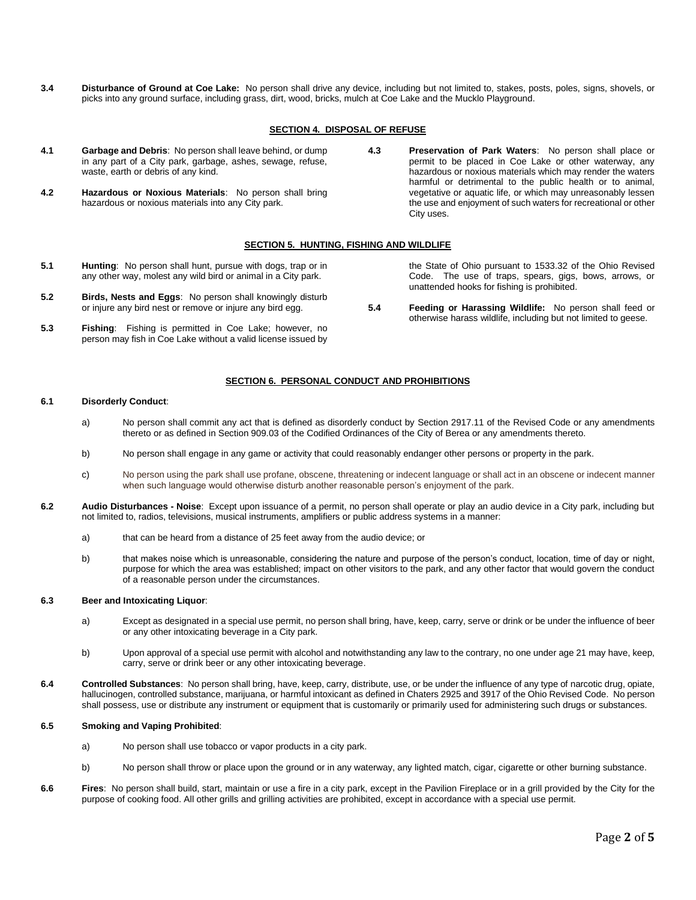**3.4 Disturbance of Ground at Coe Lake:** No person shall drive any device, including but not limited to, stakes, posts, poles, signs, shovels, or picks into any ground surface, including grass, dirt, wood, bricks, mulch at Coe Lake and the Mucklo Playground.

# **SECTION 4. DISPOSAL OF REFUSE**

- **4.1 Garbage and Debris**: No person shall leave behind, or dump in any part of a City park, garbage, ashes, sewage, refuse, waste, earth or debris of any kind.
- **4.2 Hazardous or Noxious Materials**: No person shall bring hazardous or noxious materials into any City park.
- **4.3 Preservation of Park Waters**: No person shall place or permit to be placed in Coe Lake or other waterway, any hazardous or noxious materials which may render the waters harmful or detrimental to the public health or to animal, vegetative or aquatic life, or which may unreasonably lessen the use and enjoyment of such waters for recreational or other City uses.

## **SECTION 5. HUNTING, FISHING AND WILDLIFE**

- **5.1 Hunting**: No person shall hunt, pursue with dogs, trap or in any other way, molest any wild bird or animal in a City park.
- **5.2 Birds, Nests and Eggs**: No person shall knowingly disturb or injure any bird nest or remove or injure any bird egg.
- **5.3 Fishing**: Fishing is permitted in Coe Lake; however, no person may fish in Coe Lake without a valid license issued by

#### the State of Ohio pursuant to 1533.32 of the Ohio Revised Code. The use of traps, spears, gigs, bows, arrows, or unattended hooks for fishing is prohibited.

**5.4 Feeding or Harassing Wildlife:** No person shall feed or otherwise harass wildlife, including but not limited to geese.

# **SECTION 6. PERSONAL CONDUCT AND PROHIBITIONS**

#### **6.1 Disorderly Conduct**:

- a) No person shall commit any act that is defined as disorderly conduct by Section 2917.11 of the Revised Code or any amendments thereto or as defined in Section 909.03 of the Codified Ordinances of the City of Berea or any amendments thereto.
- b) No person shall engage in any game or activity that could reasonably endanger other persons or property in the park.
- c) No person using the park shall use profane, obscene, threatening or indecent language or shall act in an obscene or indecent manner when such language would otherwise disturb another reasonable person's enjoyment of the park.
- **6.2 Audio Disturbances - Noise**: Except upon issuance of a permit, no person shall operate or play an audio device in a City park, including but not limited to, radios, televisions, musical instruments, amplifiers or public address systems in a manner:
	- a) that can be heard from a distance of 25 feet away from the audio device; or
	- b) that makes noise which is unreasonable, considering the nature and purpose of the person's conduct, location, time of day or night, purpose for which the area was established; impact on other visitors to the park, and any other factor that would govern the conduct of a reasonable person under the circumstances.

#### **6.3 Beer and Intoxicating Liquor**:

- a) Except as designated in a special use permit, no person shall bring, have, keep, carry, serve or drink or be under the influence of beer or any other intoxicating beverage in a City park.
- b) Upon approval of a special use permit with alcohol and notwithstanding any law to the contrary, no one under age 21 may have, keep, carry, serve or drink beer or any other intoxicating beverage.
- **6.4 Controlled Substances**: No person shall bring, have, keep, carry, distribute, use, or be under the influence of any type of narcotic drug, opiate, hallucinogen, controlled substance, marijuana, or harmful intoxicant as defined in Chaters 2925 and 3917 of the Ohio Revised Code. No person shall possess, use or distribute any instrument or equipment that is customarily or primarily used for administering such drugs or substances.

#### **6.5 Smoking and Vaping Prohibited**:

- a) No person shall use tobacco or vapor products in a city park.
- b) No person shall throw or place upon the ground or in any waterway, any lighted match, cigar, cigarette or other burning substance.
- **6.6 Fires**: No person shall build, start, maintain or use a fire in a city park, except in the Pavilion Fireplace or in a grill provided by the City for the purpose of cooking food. All other grills and grilling activities are prohibited, except in accordance with a special use permit.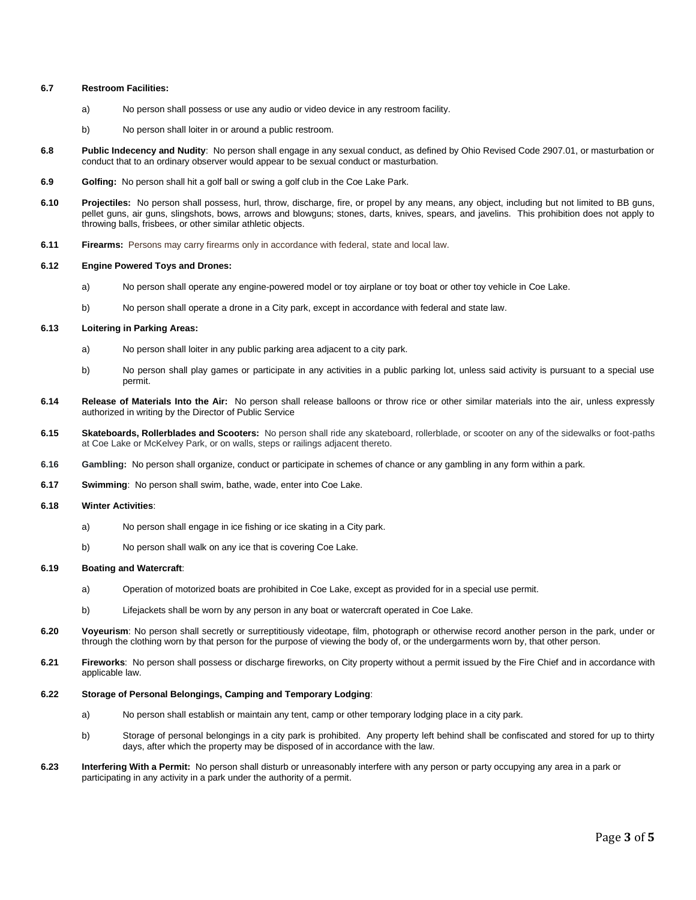## **6.7 Restroom Facilities:**

- a) No person shall possess or use any audio or video device in any restroom facility.
- b) No person shall loiter in or around a public restroom.
- **6.8 Public Indecency and Nudity**: No person shall engage in any sexual conduct, as defined by Ohio Revised Code 2907.01, or masturbation or conduct that to an ordinary observer would appear to be sexual conduct or masturbation.
- **6.9 Golfing:** No person shall hit a golf ball or swing a golf club in the Coe Lake Park.
- **6.10 Projectiles:** No person shall possess, hurl, throw, discharge, fire, or propel by any means, any object, including but not limited to BB guns, pellet guns, air guns, slingshots, bows, arrows and blowguns; stones, darts, knives, spears, and javelins. This prohibition does not apply to throwing balls, frisbees, or other similar athletic objects.
- **6.11 Firearms:** Persons may carry firearms only in accordance with federal, state and local law.

#### **6.12 Engine Powered Toys and Drones:**

- a) No person shall operate any engine-powered model or toy airplane or toy boat or other toy vehicle in Coe Lake.
- b) No person shall operate a drone in a City park, except in accordance with federal and state law.

#### **6.13 Loitering in Parking Areas:**

- a) No person shall loiter in any public parking area adjacent to a city park.
- b) No person shall play games or participate in any activities in a public parking lot, unless said activity is pursuant to a special use permit.
- **6.14 Release of Materials Into the Air:** No person shall release balloons or throw rice or other similar materials into the air, unless expressly authorized in writing by the Director of Public Service
- **6.15 Skateboards, Rollerblades and Scooters:** No person shall ride any skateboard, rollerblade, or scooter on any of the sidewalks or foot-paths at Coe Lake or McKelvey Park, or on walls, steps or railings adjacent thereto.
- **6.16 Gambling:** No person shall organize, conduct or participate in schemes of chance or any gambling in any form within a park.
- **6.17 Swimming**: No person shall swim, bathe, wade, enter into Coe Lake.

#### **6.18 Winter Activities**:

- a) No person shall engage in ice fishing or ice skating in a City park.
- b) No person shall walk on any ice that is covering Coe Lake.

## **6.19 Boating and Watercraft**:

- a) Operation of motorized boats are prohibited in Coe Lake, except as provided for in a special use permit.
- b) Lifejackets shall be worn by any person in any boat or watercraft operated in Coe Lake.
- **6.20 Voyeurism**: No person shall secretly or surreptitiously videotape, film, photograph or otherwise record another person in the park, under or through the clothing worn by that person for the purpose of viewing the body of, or the undergarments worn by, that other person.
- **6.21 Fireworks**: No person shall possess or discharge fireworks, on City property without a permit issued by the Fire Chief and in accordance with applicable law.

# **6.22 Storage of Personal Belongings, Camping and Temporary Lodging**:

- a) No person shall establish or maintain any tent, camp or other temporary lodging place in a city park.
- b) Storage of personal belongings in a city park is prohibited. Any property left behind shall be confiscated and stored for up to thirty days, after which the property may be disposed of in accordance with the law.
- **6.23 Interfering With a Permit:** No person shall disturb or unreasonably interfere with any person or party occupying any area in a park or participating in any activity in a park under the authority of a permit.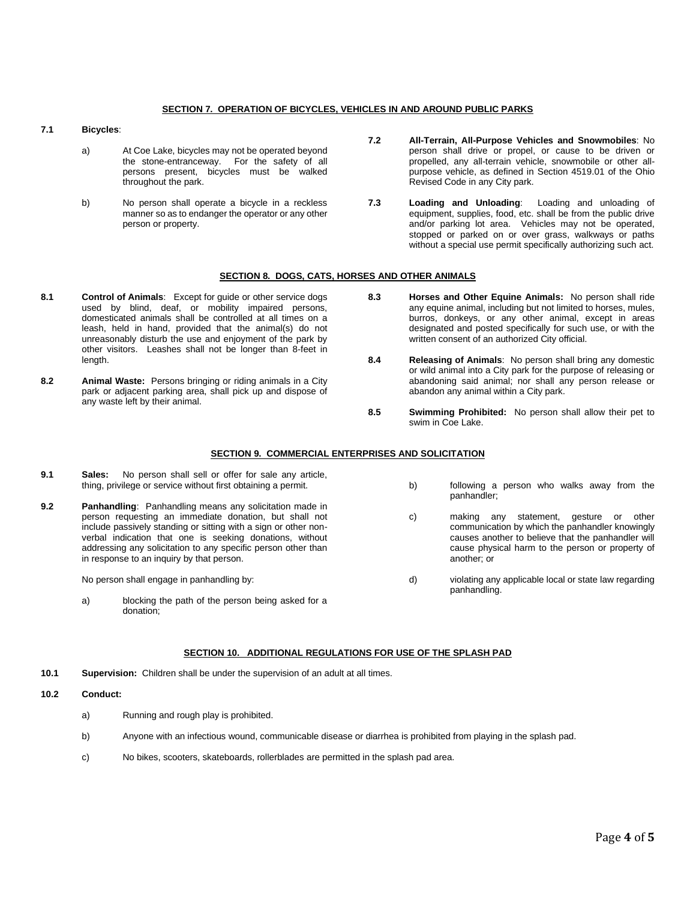# **SECTION 7. OPERATION OF BICYCLES, VEHICLES IN AND AROUND PUBLIC PARKS**

## **7.1 Bicycles**:

- a) At Coe Lake, bicycles may not be operated beyond the stone-entranceway. For the safety of all persons present, bicycles must be walked throughout the park.
- b) No person shall operate a bicycle in a reckless manner so as to endanger the operator or any other person or property.
- **7.2 All-Terrain, All-Purpose Vehicles and Snowmobiles**: No person shall drive or propel, or cause to be driven or propelled, any all-terrain vehicle, snowmobile or other allpurpose vehicle, as defined in Section 4519.01 of the Ohio Revised Code in any City park.
- **7.3 Loading and Unloading**: Loading and unloading of equipment, supplies, food, etc. shall be from the public drive and/or parking lot area. Vehicles may not be operated, stopped or parked on or over grass, walkways or paths without a special use permit specifically authorizing such act.

# **SECTION 8. DOGS, CATS, HORSES AND OTHER ANIMALS**

- **8.1 Control of Animals**: Except for guide or other service dogs used by blind, deaf, or mobility impaired persons, domesticated animals shall be controlled at all times on a leash, held in hand, provided that the animal(s) do not unreasonably disturb the use and enjoyment of the park by other visitors. Leashes shall not be longer than 8-feet in length.
- **8.2 Animal Waste:** Persons bringing or riding animals in a City park or adjacent parking area, shall pick up and dispose of any waste left by their animal.
- **8.3 Horses and Other Equine Animals:** No person shall ride any equine animal, including but not limited to horses, mules, burros, donkeys, or any other animal, except in areas designated and posted specifically for such use, or with the written consent of an authorized City official.
- **8.4 Releasing of Animals**: No person shall bring any domestic or wild animal into a City park for the purpose of releasing or abandoning said animal; nor shall any person release or abandon any animal within a City park.
- **8.5 Swimming Prohibited:** No person shall allow their pet to swim in Coe Lake.

# **SECTION 9. COMMERCIAL ENTERPRISES AND SOLICITATION**

- **9.1 Sales:** No person shall sell or offer for sale any article, thing, privilege or service without first obtaining a permit.
- **9.2 Panhandling**: Panhandling means any solicitation made in person requesting an immediate donation, but shall not include passively standing or sitting with a sign or other nonverbal indication that one is seeking donations, without addressing any solicitation to any specific person other than in response to an inquiry by that person.

No person shall engage in panhandling by:

a) blocking the path of the person being asked for a donation;

- b) following a person who walks away from the panhandler;
- c) making any statement, gesture or other communication by which the panhandler knowingly causes another to believe that the panhandler will cause physical harm to the person or property of another; or
- d) violating any applicable local or state law regarding panhandling.

# **SECTION 10. ADDITIONAL REGULATIONS FOR USE OF THE SPLASH PAD**

**10.1 Supervision:** Children shall be under the supervision of an adult at all times.

**10.2 Conduct:**

- a) Running and rough play is prohibited.
- b) Anyone with an infectious wound, communicable disease or diarrhea is prohibited from playing in the splash pad.
- c) No bikes, scooters, skateboards, rollerblades are permitted in the splash pad area.